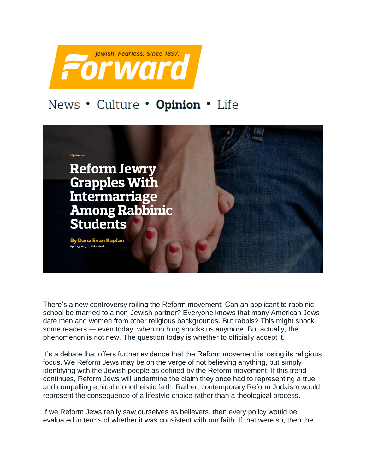

## News . Culture . Opinion . Life



There's a new controversy roiling the Reform movement: Can an applicant to rabbinic school be married to a non-Jewish partner? Everyone knows that many American Jews date men and women from other religious backgrounds. But rabbis? This might shock some readers — even today, when nothing shocks us anymore. But actually, the phenomenon is not new. The question today is whether to officially accept it.

It's a debate that offers further evidence that the Reform movement is losing its religious focus. We Reform Jews may be on the verge of not believing anything, but simply identifying with the Jewish people as defined by the Reform movement. If this trend continues, Reform Jews will undermine the claim they once had to representing a true and compelling ethical monotheistic faith. Rather, contemporary Reform Judaism would represent the consequence of a lifestyle choice rather than a theological process.

If we Reform Jews really saw ourselves as believers, then every policy would be evaluated in terms of whether it was consistent with our faith. If that were so, then the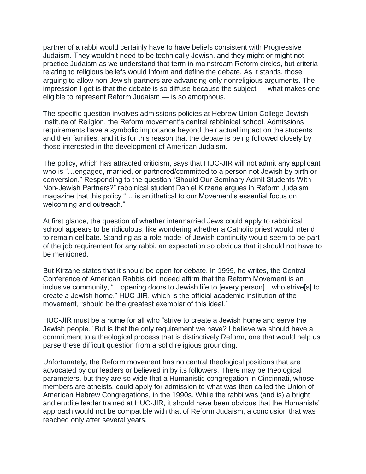partner of a rabbi would certainly have to have beliefs consistent with Progressive Judaism. They wouldn't need to be technically Jewish, and they might or might not practice Judaism as we understand that term in mainstream Reform circles, but criteria relating to religious beliefs would inform and define the debate. As it stands, those arguing to allow non-Jewish partners are advancing only nonreligious arguments. The impression I get is that the debate is so diffuse because the subject — what makes one eligible to represent Reform Judaism — is so amorphous.

The specific question involves admissions policies at Hebrew Union College-Jewish Institute of Religion, the Reform movement's central rabbinical school. Admissions requirements have a symbolic importance beyond their actual impact on the students and their families, and it is for this reason that the debate is being followed closely by those interested in the development of American Judaism.

The policy, which has attracted criticism, says that HUC-JIR will not admit any applicant who is "…engaged, married, or partnered/committed to a person not Jewish by birth or conversion." Responding to the question "Should Our Seminary Admit Students With Non-Jewish Partners?" rabbinical student Daniel Kirzane argues in Reform Judaism magazine that this policy "… is antithetical to our Movement's essential focus on welcoming and outreach."

At first glance, the question of whether intermarried Jews could apply to rabbinical school appears to be ridiculous, like wondering whether a Catholic priest would intend to remain celibate. Standing as a role model of Jewish continuity would seem to be part of the job requirement for any rabbi, an expectation so obvious that it should not have to be mentioned.

But Kirzane states that it should be open for debate. In 1999, he writes, the Central Conference of American Rabbis did indeed affirm that the Reform Movement is an inclusive community, "…opening doors to Jewish life to [every person]…who strive[s] to create a Jewish home." HUC-JIR, which is the official academic institution of the movement, "should be the greatest exemplar of this ideal."

HUC-JIR must be a home for all who "strive to create a Jewish home and serve the Jewish people." But is that the only requirement we have? I believe we should have a commitment to a theological process that is distinctively Reform, one that would help us parse these difficult question from a solid religious grounding.

Unfortunately, the Reform movement has no central theological positions that are advocated by our leaders or believed in by its followers. There may be theological parameters, but they are so wide that a Humanistic congregation in Cincinnati, whose members are atheists, could apply for admission to what was then called the Union of American Hebrew Congregations, in the 1990s. While the rabbi was (and is) a bright and erudite leader trained at HUC-JIR, it should have been obvious that the Humanists' approach would not be compatible with that of Reform Judaism, a conclusion that was reached only after several years.